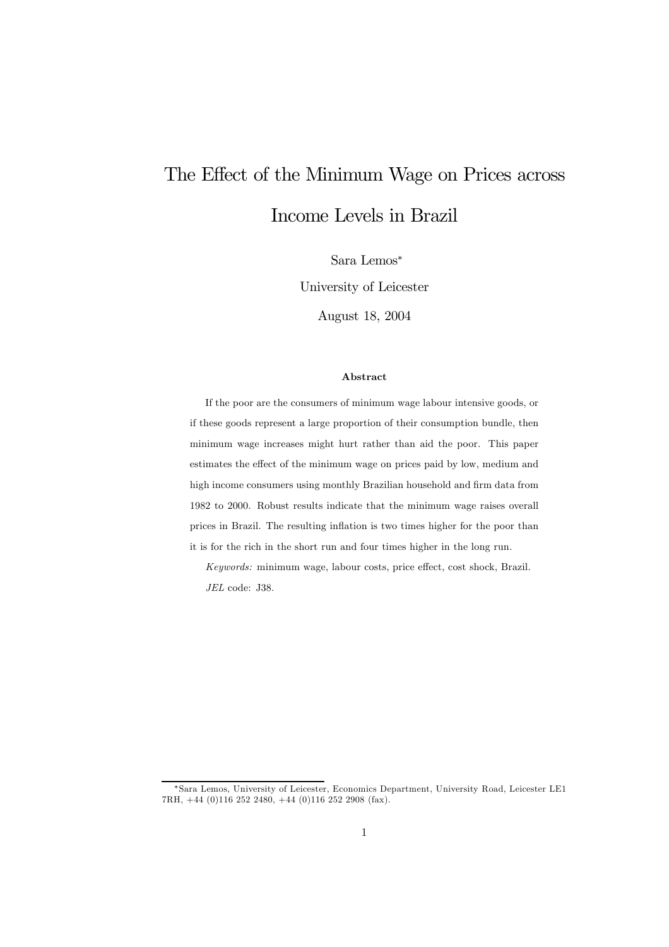# The Effect of the Minimum Wage on Prices across Income Levels in Brazil

Sara Lemos<sup>∗</sup>

University of Leicester

August 18, 2004

#### Abstract

If the poor are the consumers of minimum wage labour intensive goods, or if these goods represent a large proportion of their consumption bundle, then minimum wage increases might hurt rather than aid the poor. This paper estimates the effect of the minimum wage on prices paid by low, medium and high income consumers using monthly Brazilian household and firm data from 1982 to 2000. Robust results indicate that the minimum wage raises overall prices in Brazil. The resulting inflation is two times higher for the poor than it is for the rich in the short run and four times higher in the long run.

Keywords: minimum wage, labour costs, price effect, cost shock, Brazil. JEL code: J38.

<sup>∗</sup>Sara Lemos, University of Leicester, Economics Department, University Road, Leicester LE1 7RH, +44 (0)116 252 2480, +44 (0)116 252 2908 (fax).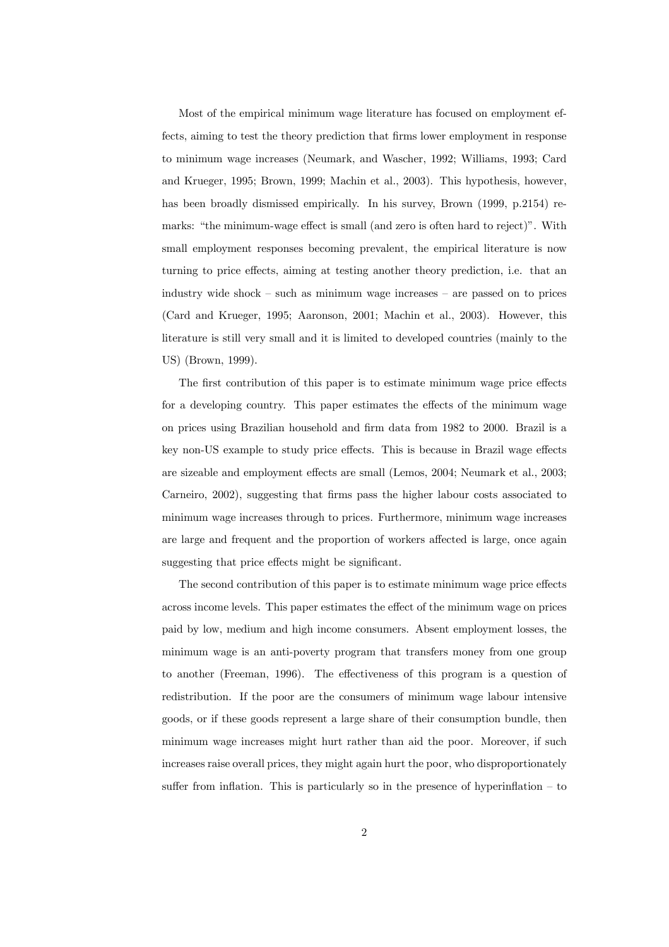Most of the empirical minimum wage literature has focused on employment effects, aiming to test the theory prediction that firms lower employment in response to minimum wage increases (Neumark, and Wascher, 1992; Williams, 1993; Card and Krueger, 1995; Brown, 1999; Machin et al., 2003). This hypothesis, however, has been broadly dismissed empirically. In his survey, Brown (1999, p.2154) remarks: "the minimum-wage effect is small (and zero is often hard to reject)". With small employment responses becoming prevalent, the empirical literature is now turning to price effects, aiming at testing another theory prediction, i.e. that an industry wide shock — such as minimum wage increases — are passed on to prices (Card and Krueger, 1995; Aaronson, 2001; Machin et al., 2003). However, this literature is still very small and it is limited to developed countries (mainly to the US) (Brown, 1999).

The first contribution of this paper is to estimate minimum wage price effects for a developing country. This paper estimates the effects of the minimum wage on prices using Brazilian household and firm data from 1982 to 2000. Brazil is a key non-US example to study price effects. This is because in Brazil wage effects are sizeable and employment effects are small (Lemos, 2004; Neumark et al., 2003; Carneiro, 2002), suggesting that firms pass the higher labour costs associated to minimum wage increases through to prices. Furthermore, minimum wage increases are large and frequent and the proportion of workers affected is large, once again suggesting that price effects might be significant.

The second contribution of this paper is to estimate minimum wage price effects across income levels. This paper estimates the effect of the minimum wage on prices paid by low, medium and high income consumers. Absent employment losses, the minimum wage is an anti-poverty program that transfers money from one group to another (Freeman, 1996). The effectiveness of this program is a question of redistribution. If the poor are the consumers of minimum wage labour intensive goods, or if these goods represent a large share of their consumption bundle, then minimum wage increases might hurt rather than aid the poor. Moreover, if such increases raise overall prices, they might again hurt the poor, who disproportionately suffer from inflation. This is particularly so in the presence of hyperinflation  $-$  to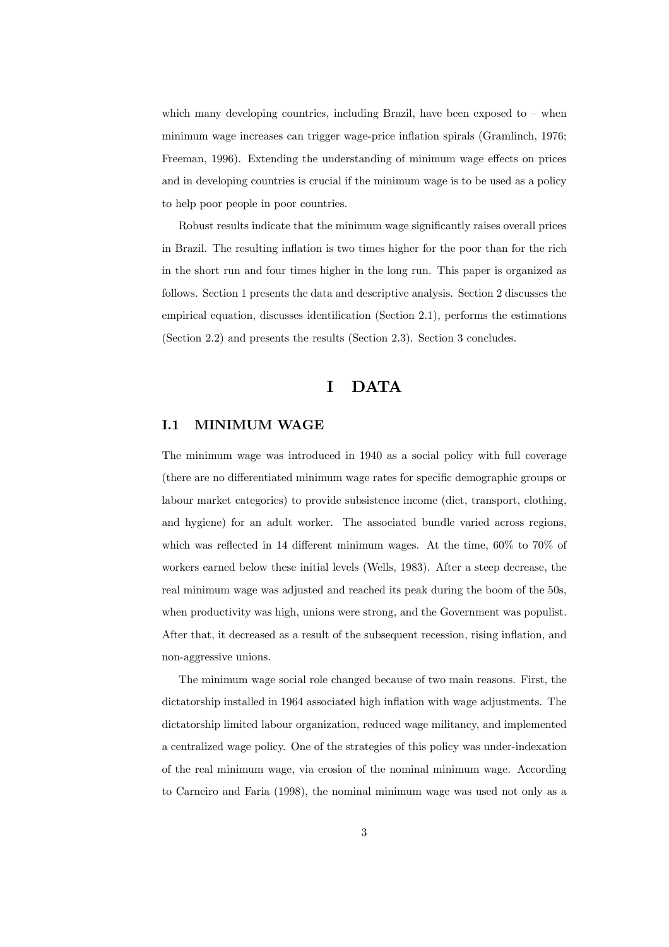which many developing countries, including Brazil, have been exposed to  $-$  when minimum wage increases can trigger wage-price inflation spirals (Gramlinch, 1976; Freeman, 1996). Extending the understanding of minimum wage effects on prices and in developing countries is crucial if the minimum wage is to be used as a policy to help poor people in poor countries.

Robust results indicate that the minimum wage significantly raises overall prices in Brazil. The resulting inflation is two times higher for the poor than for the rich in the short run and four times higher in the long run. This paper is organized as follows. Section 1 presents the data and descriptive analysis. Section 2 discusses the empirical equation, discusses identification (Section 2.1), performs the estimations (Section 2.2) and presents the results (Section 2.3). Section 3 concludes.

## I DATA

### I.1 MINIMUM WAGE

The minimum wage was introduced in 1940 as a social policy with full coverage (there are no differentiated minimum wage rates for specific demographic groups or labour market categories) to provide subsistence income (diet, transport, clothing, and hygiene) for an adult worker. The associated bundle varied across regions, which was reflected in 14 different minimum wages. At the time, 60% to 70% of workers earned below these initial levels (Wells, 1983). After a steep decrease, the real minimum wage was adjusted and reached its peak during the boom of the 50s, when productivity was high, unions were strong, and the Government was populist. After that, it decreased as a result of the subsequent recession, rising inflation, and non-aggressive unions.

The minimum wage social role changed because of two main reasons. First, the dictatorship installed in 1964 associated high inflation with wage adjustments. The dictatorship limited labour organization, reduced wage militancy, and implemented a centralized wage policy. One of the strategies of this policy was under-indexation of the real minimum wage, via erosion of the nominal minimum wage. According to Carneiro and Faria (1998), the nominal minimum wage was used not only as a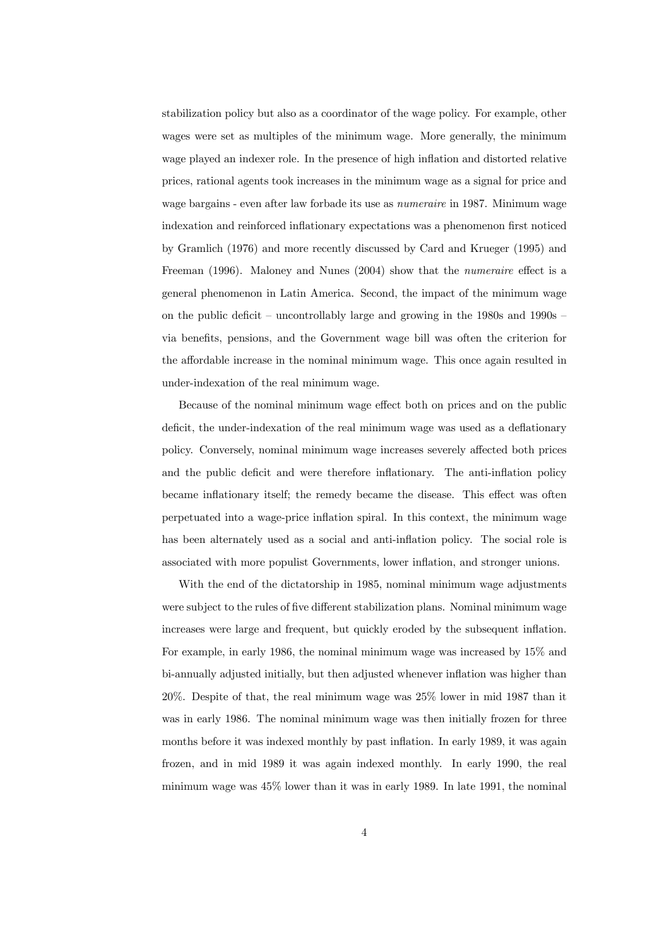stabilization policy but also as a coordinator of the wage policy. For example, other wages were set as multiples of the minimum wage. More generally, the minimum wage played an indexer role. In the presence of high inflation and distorted relative prices, rational agents took increases in the minimum wage as a signal for price and wage bargains - even after law forbade its use as numeraire in 1987. Minimum wage indexation and reinforced inflationary expectations was a phenomenon first noticed by Gramlich (1976) and more recently discussed by Card and Krueger (1995) and Freeman (1996). Maloney and Nunes (2004) show that the numeraire effect is a general phenomenon in Latin America. Second, the impact of the minimum wage on the public deficit – uncontrollably large and growing in the 1980s and 1990s – via benefits, pensions, and the Government wage bill was often the criterion for the affordable increase in the nominal minimum wage. This once again resulted in under-indexation of the real minimum wage.

Because of the nominal minimum wage effect both on prices and on the public deficit, the under-indexation of the real minimum wage was used as a deflationary policy. Conversely, nominal minimum wage increases severely affected both prices and the public deficit and were therefore inflationary. The anti-inflation policy became inflationary itself; the remedy became the disease. This effect was often perpetuated into a wage-price inflation spiral. In this context, the minimum wage has been alternately used as a social and anti-inflation policy. The social role is associated with more populist Governments, lower inflation, and stronger unions.

With the end of the dictatorship in 1985, nominal minimum wage adjustments were subject to the rules of five different stabilization plans. Nominal minimum wage increases were large and frequent, but quickly eroded by the subsequent inflation. For example, in early 1986, the nominal minimum wage was increased by 15% and bi-annually adjusted initially, but then adjusted whenever inflation was higher than 20%. Despite of that, the real minimum wage was 25% lower in mid 1987 than it was in early 1986. The nominal minimum wage was then initially frozen for three months before it was indexed monthly by past inflation. In early 1989, it was again frozen, and in mid 1989 it was again indexed monthly. In early 1990, the real minimum wage was 45% lower than it was in early 1989. In late 1991, the nominal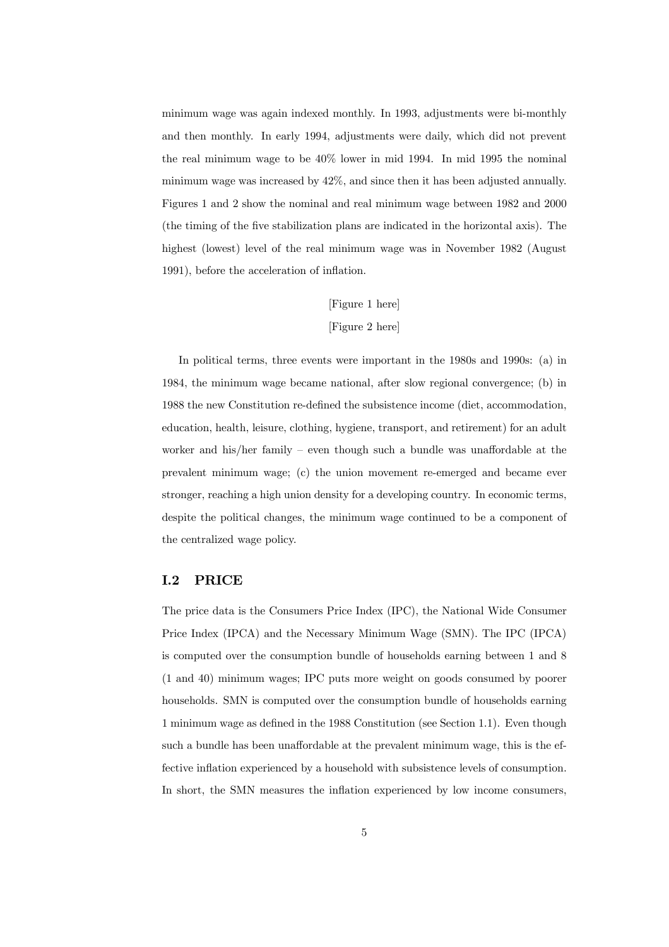minimum wage was again indexed monthly. In 1993, adjustments were bi-monthly and then monthly. In early 1994, adjustments were daily, which did not prevent the real minimum wage to be 40% lower in mid 1994. In mid 1995 the nominal minimum wage was increased by 42%, and since then it has been adjusted annually. Figures 1 and 2 show the nominal and real minimum wage between 1982 and 2000 (the timing of the five stabilization plans are indicated in the horizontal axis). The highest (lowest) level of the real minimum wage was in November 1982 (August 1991), before the acceleration of inflation.

# [Figure 1 here] [Figure 2 here]

In political terms, three events were important in the 1980s and 1990s: (a) in 1984, the minimum wage became national, after slow regional convergence; (b) in 1988 the new Constitution re-defined the subsistence income (diet, accommodation, education, health, leisure, clothing, hygiene, transport, and retirement) for an adult worker and his/her family – even though such a bundle was unaffordable at the prevalent minimum wage; (c) the union movement re-emerged and became ever stronger, reaching a high union density for a developing country. In economic terms, despite the political changes, the minimum wage continued to be a component of the centralized wage policy.

## I.2 PRICE

The price data is the Consumers Price Index (IPC), the National Wide Consumer Price Index (IPCA) and the Necessary Minimum Wage (SMN). The IPC (IPCA) is computed over the consumption bundle of households earning between 1 and 8 (1 and 40) minimum wages; IPC puts more weight on goods consumed by poorer households. SMN is computed over the consumption bundle of households earning 1 minimum wage as defined in the 1988 Constitution (see Section 1.1). Even though such a bundle has been unaffordable at the prevalent minimum wage, this is the effective inflation experienced by a household with subsistence levels of consumption. In short, the SMN measures the inflation experienced by low income consumers,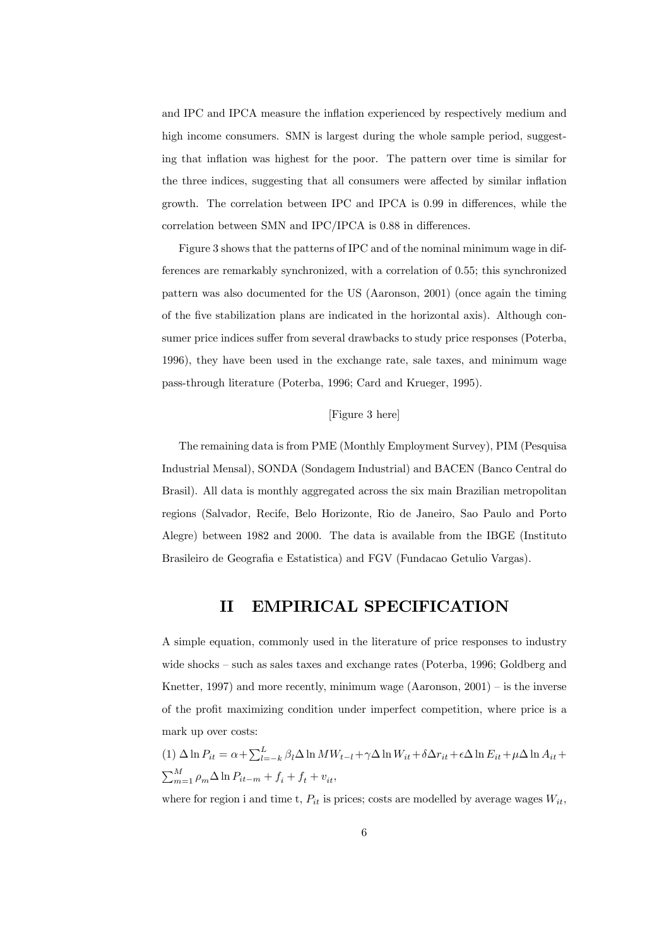and IPC and IPCA measure the inflation experienced by respectively medium and high income consumers. SMN is largest during the whole sample period, suggesting that inflation was highest for the poor. The pattern over time is similar for the three indices, suggesting that all consumers were affected by similar inflation growth. The correlation between IPC and IPCA is 0.99 in differences, while the correlation between SMN and IPC/IPCA is 0.88 in differences.

Figure 3 shows that the patterns of IPC and of the nominal minimum wage in differences are remarkably synchronized, with a correlation of 0.55; this synchronized pattern was also documented for the US (Aaronson, 2001) (once again the timing of the five stabilization plans are indicated in the horizontal axis). Although consumer price indices suffer from several drawbacks to study price responses (Poterba, 1996), they have been used in the exchange rate, sale taxes, and minimum wage pass-through literature (Poterba, 1996; Card and Krueger, 1995).

### [Figure 3 here]

The remaining data is from PME (Monthly Employment Survey), PIM (Pesquisa Industrial Mensal), SONDA (Sondagem Industrial) and BACEN (Banco Central do Brasil). All data is monthly aggregated across the six main Brazilian metropolitan regions (Salvador, Recife, Belo Horizonte, Rio de Janeiro, Sao Paulo and Porto Alegre) between 1982 and 2000. The data is available from the IBGE (Instituto Brasileiro de Geografia e Estatistica) and FGV (Fundacao Getulio Vargas).

# II EMPIRICAL SPECIFICATION

A simple equation, commonly used in the literature of price responses to industry wide shocks — such as sales taxes and exchange rates (Poterba, 1996; Goldberg and Knetter, 1997) and more recently, minimum wage  $(Aaronson, 2001) -$  is the inverse of the profit maximizing condition under imperfect competition, where price is a mark up over costs:

(1) 
$$
\Delta \ln P_{it} = \alpha + \sum_{l=-k}^{L} \beta_l \Delta \ln MW_{t-l} + \gamma \Delta \ln W_{it} + \delta \Delta r_{it} + \epsilon \Delta \ln E_{it} + \mu \Delta \ln A_{it} + \sum_{m=1}^{M} \rho_m \Delta \ln P_{it-m} + f_i + f_t + v_{it},
$$

where for region i and time t,  $P_{it}$  is prices; costs are modelled by average wages  $W_{it}$ ,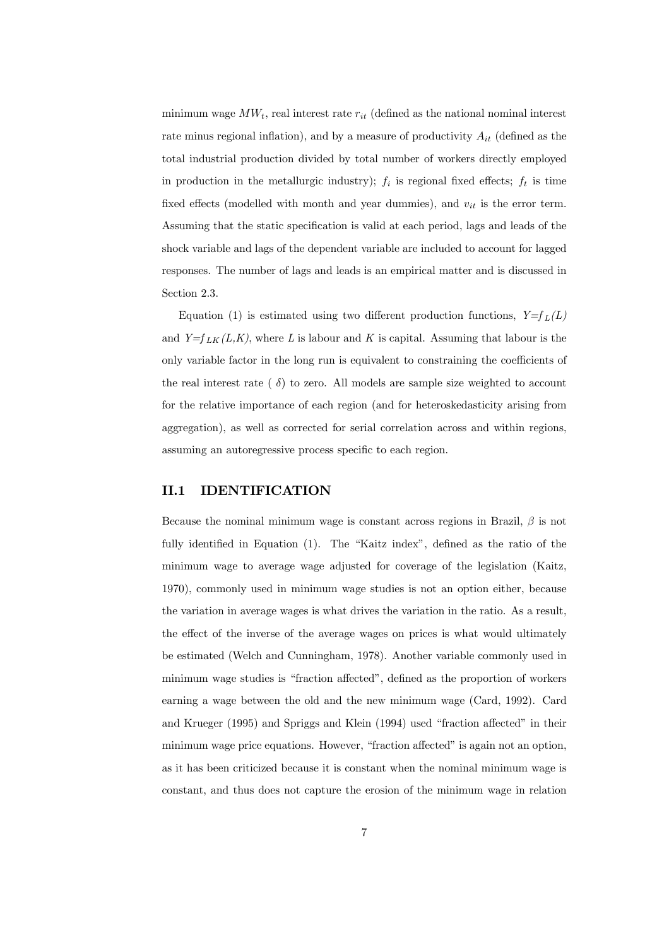minimum wage  $MW_t$ , real interest rate  $r_{it}$  (defined as the national nominal interest rate minus regional inflation), and by a measure of productivity  $A_{it}$  (defined as the total industrial production divided by total number of workers directly employed in production in the metallurgic industry);  $f_i$  is regional fixed effects;  $f_t$  is time fixed effects (modelled with month and year dummies), and  $v_{it}$  is the error term. Assuming that the static specification is valid at each period, lags and leads of the shock variable and lags of the dependent variable are included to account for lagged responses. The number of lags and leads is an empirical matter and is discussed in Section 2.3.

Equation (1) is estimated using two different production functions,  $Y=f_L(L)$ and  $Y=f_{LK}(L,K)$ , where L is labour and K is capital. Assuming that labour is the only variable factor in the long run is equivalent to constraining the coefficients of the real interest rate ( $\delta$ ) to zero. All models are sample size weighted to account for the relative importance of each region (and for heteroskedasticity arising from aggregation), as well as corrected for serial correlation across and within regions, assuming an autoregressive process specific to each region.

## II.1 IDENTIFICATION

Because the nominal minimum wage is constant across regions in Brazil,  $\beta$  is not fully identified in Equation (1). The "Kaitz index", defined as the ratio of the minimum wage to average wage adjusted for coverage of the legislation (Kaitz, 1970), commonly used in minimum wage studies is not an option either, because the variation in average wages is what drives the variation in the ratio. As a result, the effect of the inverse of the average wages on prices is what would ultimately be estimated (Welch and Cunningham, 1978). Another variable commonly used in minimum wage studies is "fraction affected", defined as the proportion of workers earning a wage between the old and the new minimum wage (Card, 1992). Card and Krueger (1995) and Spriggs and Klein (1994) used "fraction affected" in their minimum wage price equations. However, "fraction affected" is again not an option, as it has been criticized because it is constant when the nominal minimum wage is constant, and thus does not capture the erosion of the minimum wage in relation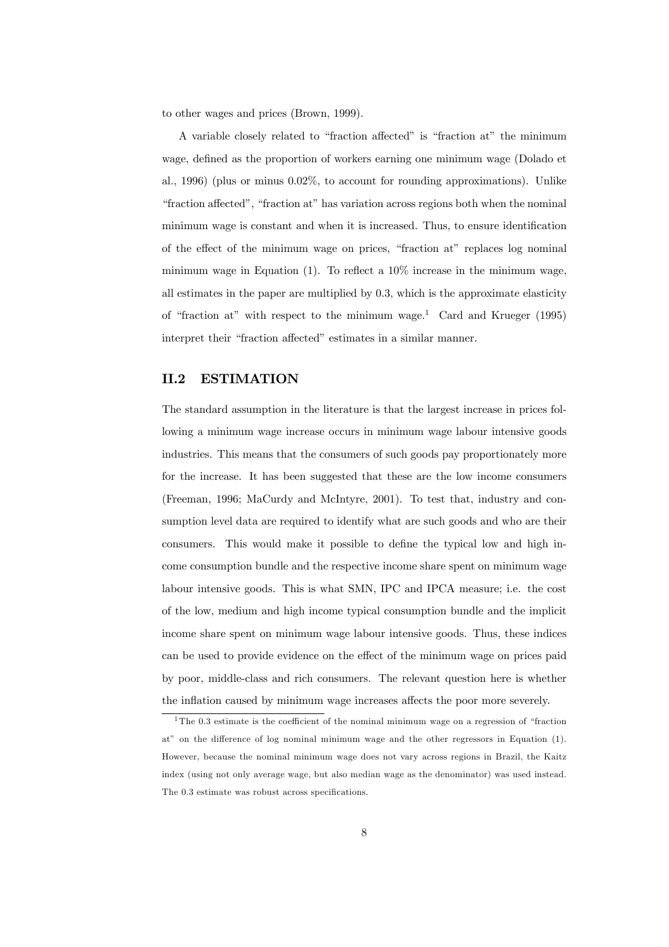to other wages and prices (Brown, 1999).

A variable closely related to "fraction affected" is "fraction at" the minimum wage, defined as the proportion of workers earning one minimum wage (Dolado et al., 1996) (plus or minus 0.02%, to account for rounding approximations). Unlike "fraction affected", "fraction at" has variation across regions both when the nominal minimum wage is constant and when it is increased. Thus, to ensure identification of the effect of the minimum wage on prices, "fraction at" replaces log nominal minimum wage in Equation (1). To reflect a 10% increase in the minimum wage, all estimates in the paper are multiplied by 0.3, which is the approximate elasticity of "fraction at" with respect to the minimum wage.<sup>1</sup> Card and Krueger (1995) interpret their "fraction affected" estimates in a similar manner.

### II.2 ESTIMATION

The standard assumption in the literature is that the largest increase in prices following a minimum wage increase occurs in minimum wage labour intensive goods industries. This means that the consumers of such goods pay proportionately more for the increase. It has been suggested that these are the low income consumers (Freeman, 1996; MaCurdy and McIntyre, 2001). To test that, industry and consumption level data are required to identify what are such goods and who are their consumers. This would make it possible to define the typical low and high income consumption bundle and the respective income share spent on minimum wage labour intensive goods. This is what SMN, IPC and IPCA measure; i.e. the cost of the low, medium and high income typical consumption bundle and the implicit income share spent on minimum wage labour intensive goods. Thus, these indices can be used to provide evidence on the effect of the minimum wage on prices paid by poor, middle-class and rich consumers. The relevant question here is whether the inflation caused by minimum wage increases affects the poor more severely.

<sup>&</sup>lt;sup>1</sup>The 0.3 estimate is the coefficient of the nominal minimum wage on a regression of "fraction" at" on the difference of log nominal minimum wage and the other regressors in Equation (1). However, because the nominal minimum wage does not vary across regions in Brazil, the Kaitz index (using not only average wage, but also median wage as the denominator) was used instead. The 0.3 estimate was robust across specifications.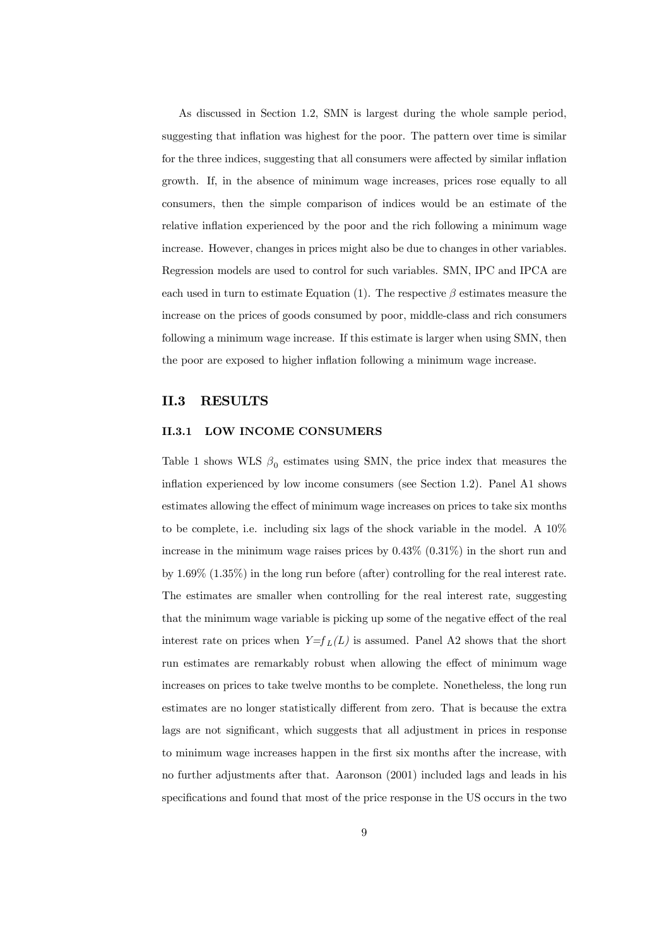As discussed in Section 1.2, SMN is largest during the whole sample period, suggesting that inflation was highest for the poor. The pattern over time is similar for the three indices, suggesting that all consumers were affected by similar inflation growth. If, in the absence of minimum wage increases, prices rose equally to all consumers, then the simple comparison of indices would be an estimate of the relative inflation experienced by the poor and the rich following a minimum wage increase. However, changes in prices might also be due to changes in other variables. Regression models are used to control for such variables. SMN, IPC and IPCA are each used in turn to estimate Equation (1). The respective  $\beta$  estimates measure the increase on the prices of goods consumed by poor, middle-class and rich consumers following a minimum wage increase. If this estimate is larger when using SMN, then the poor are exposed to higher inflation following a minimum wage increase.

#### II.3 RESULTS

#### II.3.1 LOW INCOME CONSUMERS

Table 1 shows WLS  $\beta_0$  estimates using SMN, the price index that measures the inflation experienced by low income consumers (see Section 1.2). Panel A1 shows estimates allowing the effect of minimum wage increases on prices to take six months to be complete, i.e. including six lags of the shock variable in the model. A 10% increase in the minimum wage raises prices by  $0.43\%$   $(0.31\%)$  in the short run and by 1.69% (1.35%) in the long run before (after) controlling for the real interest rate. The estimates are smaller when controlling for the real interest rate, suggesting that the minimum wage variable is picking up some of the negative effect of the real interest rate on prices when  $Y=f_L(L)$  is assumed. Panel A2 shows that the short run estimates are remarkably robust when allowing the effect of minimum wage increases on prices to take twelve months to be complete. Nonetheless, the long run estimates are no longer statistically different from zero. That is because the extra lags are not significant, which suggests that all adjustment in prices in response to minimum wage increases happen in the first six months after the increase, with no further adjustments after that. Aaronson (2001) included lags and leads in his specifications and found that most of the price response in the US occurs in the two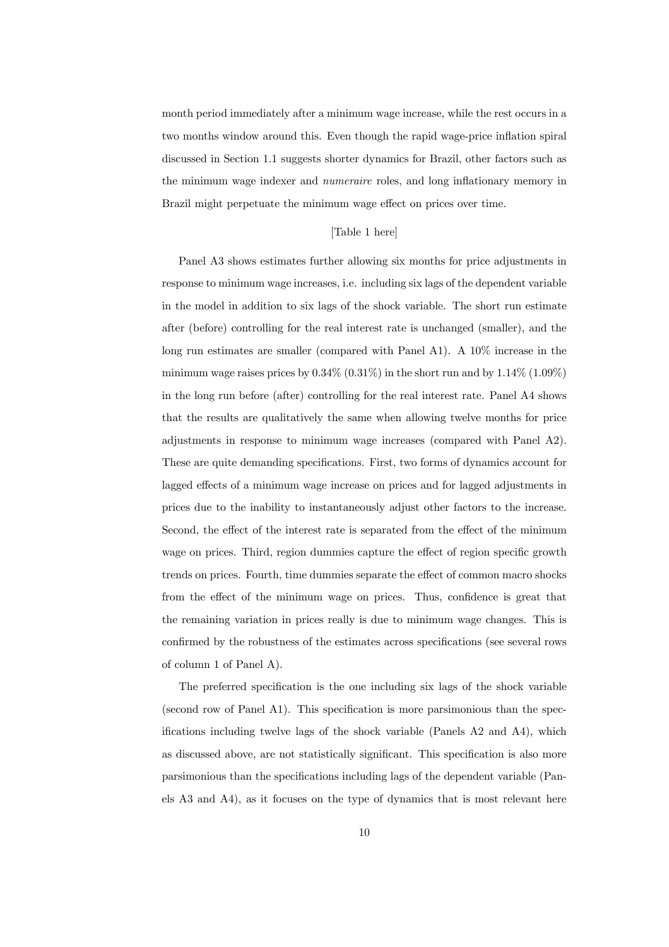month period immediately after a minimum wage increase, while the rest occurs in a two months window around this. Even though the rapid wage-price inflation spiral discussed in Section 1.1 suggests shorter dynamics for Brazil, other factors such as the minimum wage indexer and numeraire roles, and long inflationary memory in Brazil might perpetuate the minimum wage effect on prices over time.

#### [Table 1 here]

Panel A3 shows estimates further allowing six months for price adjustments in response to minimum wage increases, i.e. including six lags of the dependent variable in the model in addition to six lags of the shock variable. The short run estimate after (before) controlling for the real interest rate is unchanged (smaller), and the long run estimates are smaller (compared with Panel A1). A 10% increase in the minimum wage raises prices by  $0.34\%$   $(0.31\%)$  in the short run and by  $1.14\%$   $(1.09\%)$ in the long run before (after) controlling for the real interest rate. Panel A4 shows that the results are qualitatively the same when allowing twelve months for price adjustments in response to minimum wage increases (compared with Panel A2). These are quite demanding specifications. First, two forms of dynamics account for lagged effects of a minimum wage increase on prices and for lagged adjustments in prices due to the inability to instantaneously adjust other factors to the increase. Second, the effect of the interest rate is separated from the effect of the minimum wage on prices. Third, region dummies capture the effect of region specific growth trends on prices. Fourth, time dummies separate the effect of common macro shocks from the effect of the minimum wage on prices. Thus, confidence is great that the remaining variation in prices really is due to minimum wage changes. This is confirmed by the robustness of the estimates across specifications (see several rows of column 1 of Panel A).

The preferred specification is the one including six lags of the shock variable (second row of Panel A1). This specification is more parsimonious than the specifications including twelve lags of the shock variable (Panels A2 and A4), which as discussed above, are not statistically significant. This specification is also more parsimonious than the specifications including lags of the dependent variable (Panels A3 and A4), as it focuses on the type of dynamics that is most relevant here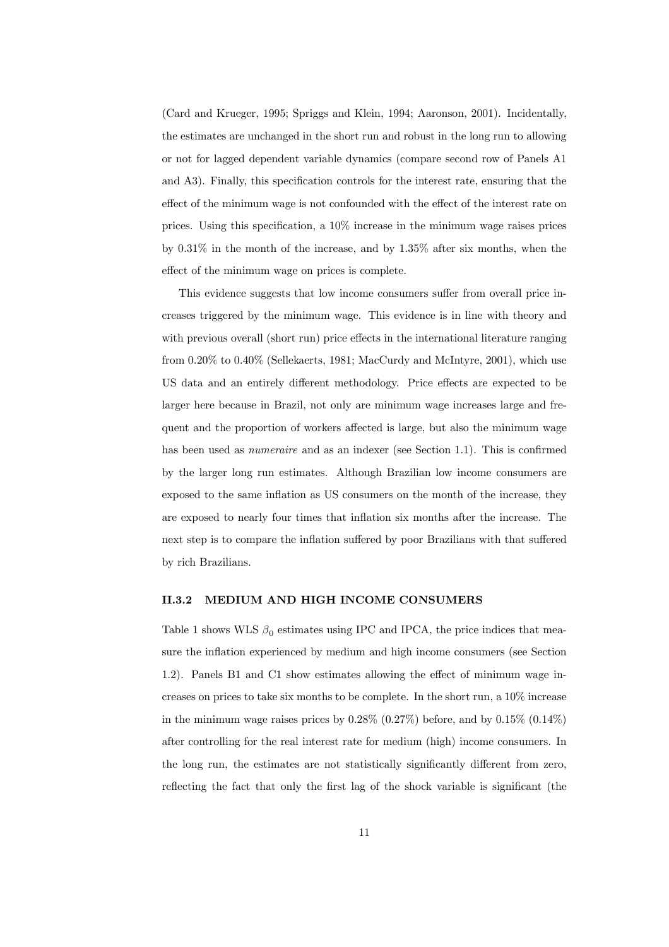(Card and Krueger, 1995; Spriggs and Klein, 1994; Aaronson, 2001). Incidentally, the estimates are unchanged in the short run and robust in the long run to allowing or not for lagged dependent variable dynamics (compare second row of Panels A1 and A3). Finally, this specification controls for the interest rate, ensuring that the effect of the minimum wage is not confounded with the effect of the interest rate on prices. Using this specification, a 10% increase in the minimum wage raises prices by 0.31% in the month of the increase, and by 1.35% after six months, when the effect of the minimum wage on prices is complete.

This evidence suggests that low income consumers suffer from overall price increases triggered by the minimum wage. This evidence is in line with theory and with previous overall (short run) price effects in the international literature ranging from 0.20% to 0.40% (Sellekaerts, 1981; MacCurdy and McIntyre, 2001), which use US data and an entirely different methodology. Price effects are expected to be larger here because in Brazil, not only are minimum wage increases large and frequent and the proportion of workers affected is large, but also the minimum wage has been used as *numeraire* and as an indexer (see Section 1.1). This is confirmed by the larger long run estimates. Although Brazilian low income consumers are exposed to the same inflation as US consumers on the month of the increase, they are exposed to nearly four times that inflation six months after the increase. The next step is to compare the inflation suffered by poor Brazilians with that suffered by rich Brazilians.

#### II.3.2 MEDIUM AND HIGH INCOME CONSUMERS

Table 1 shows WLS  $\beta_0$  estimates using IPC and IPCA, the price indices that measure the inflation experienced by medium and high income consumers (see Section 1.2). Panels B1 and C1 show estimates allowing the effect of minimum wage increases on prices to take six months to be complete. In the short run, a 10% increase in the minimum wage raises prices by  $0.28\%$   $(0.27\%)$  before, and by  $0.15\%$   $(0.14\%)$ after controlling for the real interest rate for medium (high) income consumers. In the long run, the estimates are not statistically significantly different from zero, reflecting the fact that only the first lag of the shock variable is significant (the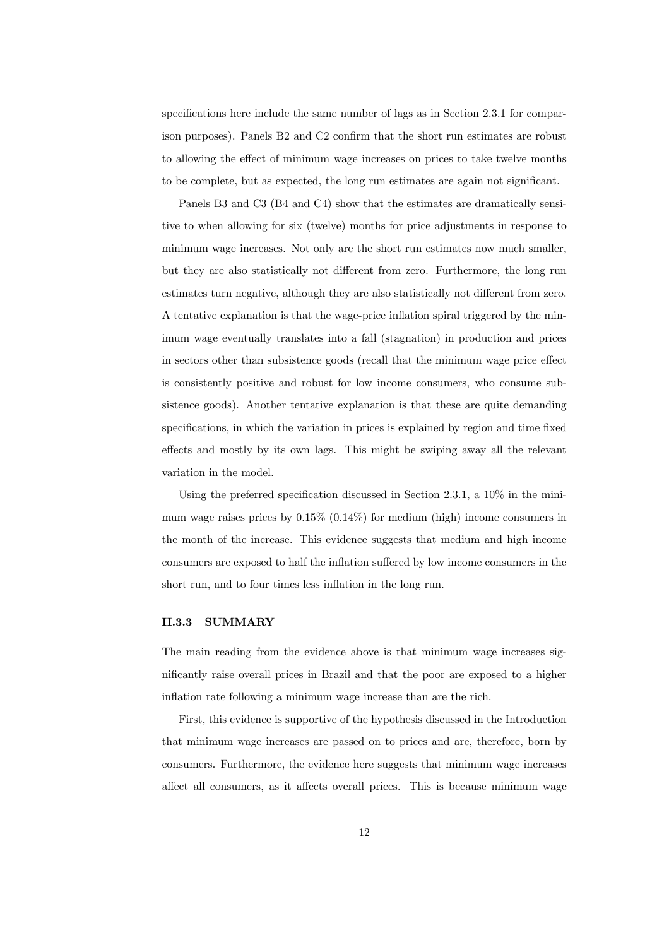specifications here include the same number of lags as in Section 2.3.1 for comparison purposes). Panels B2 and C2 confirm that the short run estimates are robust to allowing the effect of minimum wage increases on prices to take twelve months to be complete, but as expected, the long run estimates are again not significant.

Panels B3 and C3 (B4 and C4) show that the estimates are dramatically sensitive to when allowing for six (twelve) months for price adjustments in response to minimum wage increases. Not only are the short run estimates now much smaller, but they are also statistically not different from zero. Furthermore, the long run estimates turn negative, although they are also statistically not different from zero. A tentative explanation is that the wage-price inflation spiral triggered by the minimum wage eventually translates into a fall (stagnation) in production and prices in sectors other than subsistence goods (recall that the minimum wage price effect is consistently positive and robust for low income consumers, who consume subsistence goods). Another tentative explanation is that these are quite demanding specifications, in which the variation in prices is explained by region and time fixed effects and mostly by its own lags. This might be swiping away all the relevant variation in the model.

Using the preferred specification discussed in Section 2.3.1, a 10% in the minimum wage raises prices by  $0.15\%$   $(0.14\%)$  for medium (high) income consumers in the month of the increase. This evidence suggests that medium and high income consumers are exposed to half the inflation suffered by low income consumers in the short run, and to four times less inflation in the long run.

#### II.3.3 SUMMARY

The main reading from the evidence above is that minimum wage increases significantly raise overall prices in Brazil and that the poor are exposed to a higher inflation rate following a minimum wage increase than are the rich.

First, this evidence is supportive of the hypothesis discussed in the Introduction that minimum wage increases are passed on to prices and are, therefore, born by consumers. Furthermore, the evidence here suggests that minimum wage increases affect all consumers, as it affects overall prices. This is because minimum wage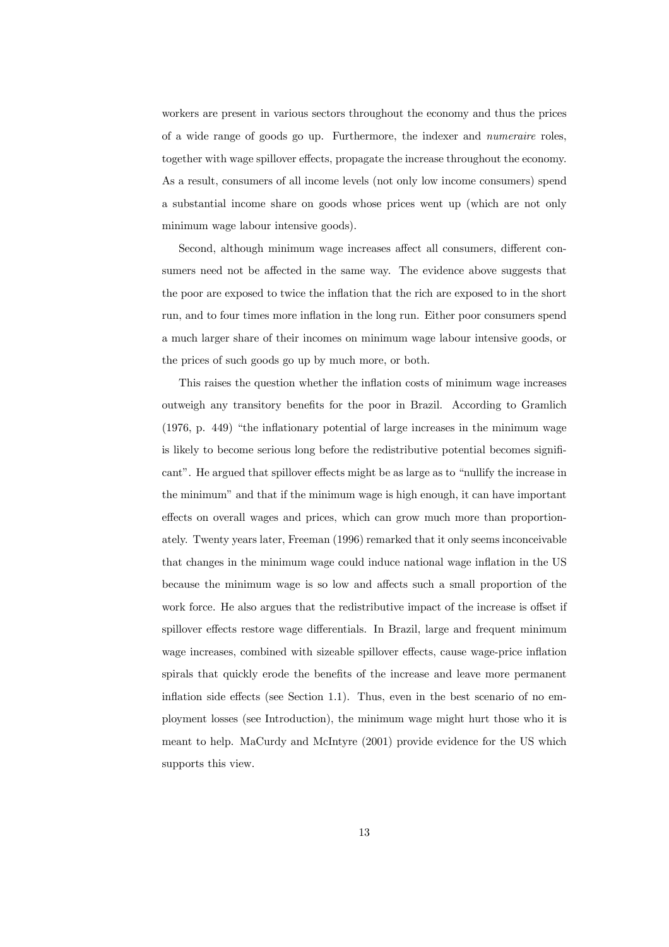workers are present in various sectors throughout the economy and thus the prices of a wide range of goods go up. Furthermore, the indexer and numeraire roles, together with wage spillover effects, propagate the increase throughout the economy. As a result, consumers of all income levels (not only low income consumers) spend a substantial income share on goods whose prices went up (which are not only minimum wage labour intensive goods).

Second, although minimum wage increases affect all consumers, different consumers need not be affected in the same way. The evidence above suggests that the poor are exposed to twice the inflation that the rich are exposed to in the short run, and to four times more inflation in the long run. Either poor consumers spend a much larger share of their incomes on minimum wage labour intensive goods, or the prices of such goods go up by much more, or both.

This raises the question whether the inflation costs of minimum wage increases outweigh any transitory benefits for the poor in Brazil. According to Gramlich (1976, p. 449) "the inflationary potential of large increases in the minimum wage is likely to become serious long before the redistributive potential becomes significant". He argued that spillover effects might be as large as to "nullify the increase in the minimum" and that if the minimum wage is high enough, it can have important effects on overall wages and prices, which can grow much more than proportionately. Twenty years later, Freeman (1996) remarked that it only seems inconceivable that changes in the minimum wage could induce national wage inflation in the US because the minimum wage is so low and affects such a small proportion of the work force. He also argues that the redistributive impact of the increase is offset if spillover effects restore wage differentials. In Brazil, large and frequent minimum wage increases, combined with sizeable spillover effects, cause wage-price inflation spirals that quickly erode the benefits of the increase and leave more permanent inflation side effects (see Section 1.1). Thus, even in the best scenario of no employment losses (see Introduction), the minimum wage might hurt those who it is meant to help. MaCurdy and McIntyre (2001) provide evidence for the US which supports this view.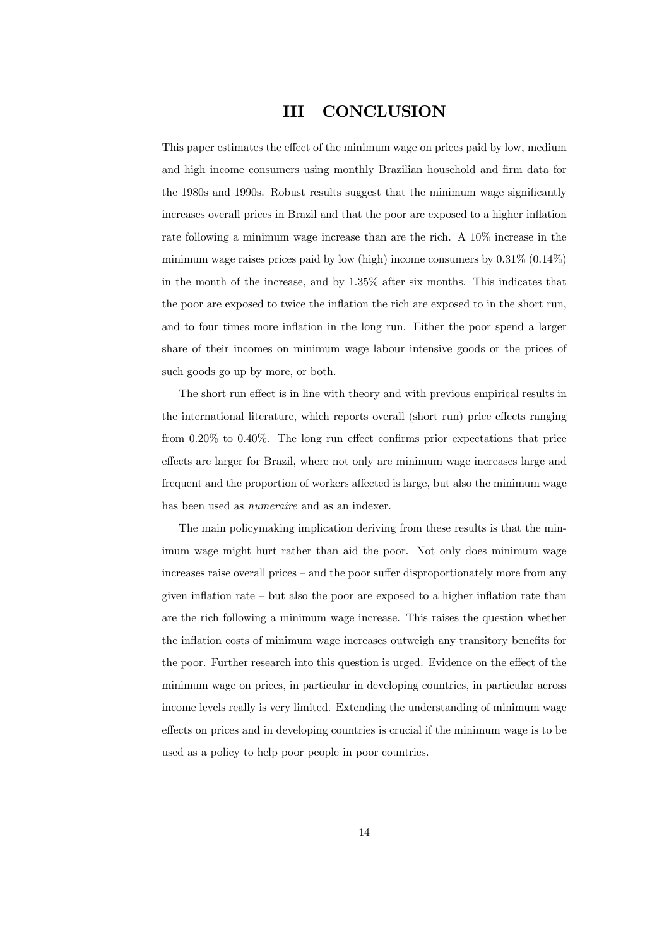# III CONCLUSION

This paper estimates the effect of the minimum wage on prices paid by low, medium and high income consumers using monthly Brazilian household and firm data for the 1980s and 1990s. Robust results suggest that the minimum wage significantly increases overall prices in Brazil and that the poor are exposed to a higher inflation rate following a minimum wage increase than are the rich. A 10% increase in the minimum wage raises prices paid by low (high) income consumers by  $0.31\%$  ( $0.14\%$ ) in the month of the increase, and by 1.35% after six months. This indicates that the poor are exposed to twice the inflation the rich are exposed to in the short run, and to four times more inflation in the long run. Either the poor spend a larger share of their incomes on minimum wage labour intensive goods or the prices of such goods go up by more, or both.

The short run effect is in line with theory and with previous empirical results in the international literature, which reports overall (short run) price effects ranging from 0.20% to 0.40%. The long run effect confirms prior expectations that price effects are larger for Brazil, where not only are minimum wage increases large and frequent and the proportion of workers affected is large, but also the minimum wage has been used as numeraire and as an indexer.

The main policymaking implication deriving from these results is that the minimum wage might hurt rather than aid the poor. Not only does minimum wage increases raise overall prices — and the poor suffer disproportionately more from any given inflation rate — but also the poor are exposed to a higher inflation rate than are the rich following a minimum wage increase. This raises the question whether the inflation costs of minimum wage increases outweigh any transitory benefits for the poor. Further research into this question is urged. Evidence on the effect of the minimum wage on prices, in particular in developing countries, in particular across income levels really is very limited. Extending the understanding of minimum wage effects on prices and in developing countries is crucial if the minimum wage is to be used as a policy to help poor people in poor countries.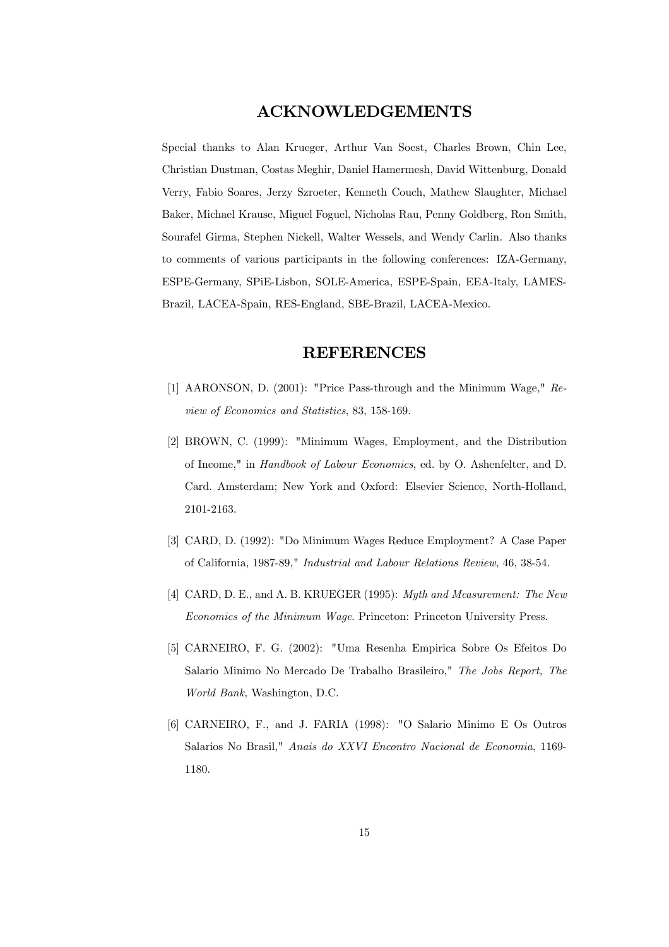## ACKNOWLEDGEMENTS

Special thanks to Alan Krueger, Arthur Van Soest, Charles Brown, Chin Lee, Christian Dustman, Costas Meghir, Daniel Hamermesh, David Wittenburg, Donald Verry, Fabio Soares, Jerzy Szroeter, Kenneth Couch, Mathew Slaughter, Michael Baker, Michael Krause, Miguel Foguel, Nicholas Rau, Penny Goldberg, Ron Smith, Sourafel Girma, Stephen Nickell, Walter Wessels, and Wendy Carlin. Also thanks to comments of various participants in the following conferences: IZA-Germany, ESPE-Germany, SPiE-Lisbon, SOLE-America, ESPE-Spain, EEA-Italy, LAMES-Brazil, LACEA-Spain, RES-England, SBE-Brazil, LACEA-Mexico.

## REFERENCES

- [1] AARONSON, D. (2001): "Price Pass-through and the Minimum Wage," Review of Economics and Statistics, 83, 158-169.
- [2] BROWN, C. (1999): "Minimum Wages, Employment, and the Distribution of Income," in Handbook of Labour Economics, ed. by O. Ashenfelter, and D. Card. Amsterdam; New York and Oxford: Elsevier Science, North-Holland, 2101-2163.
- [3] CARD, D. (1992): "Do Minimum Wages Reduce Employment? A Case Paper of California, 1987-89," Industrial and Labour Relations Review, 46, 38-54.
- [4] CARD, D. E., and A. B. KRUEGER (1995): Myth and Measurement: The New Economics of the Minimum Wage. Princeton: Princeton University Press.
- [5] CARNEIRO, F. G. (2002): "Uma Resenha Empirica Sobre Os Efeitos Do Salario Minimo No Mercado De Trabalho Brasileiro," The Jobs Report, The World Bank, Washington, D.C.
- [6] CARNEIRO, F., and J. FARIA (1998): "O Salario Minimo E Os Outros Salarios No Brasil," Anais do XXVI Encontro Nacional de Economia, 1169- 1180.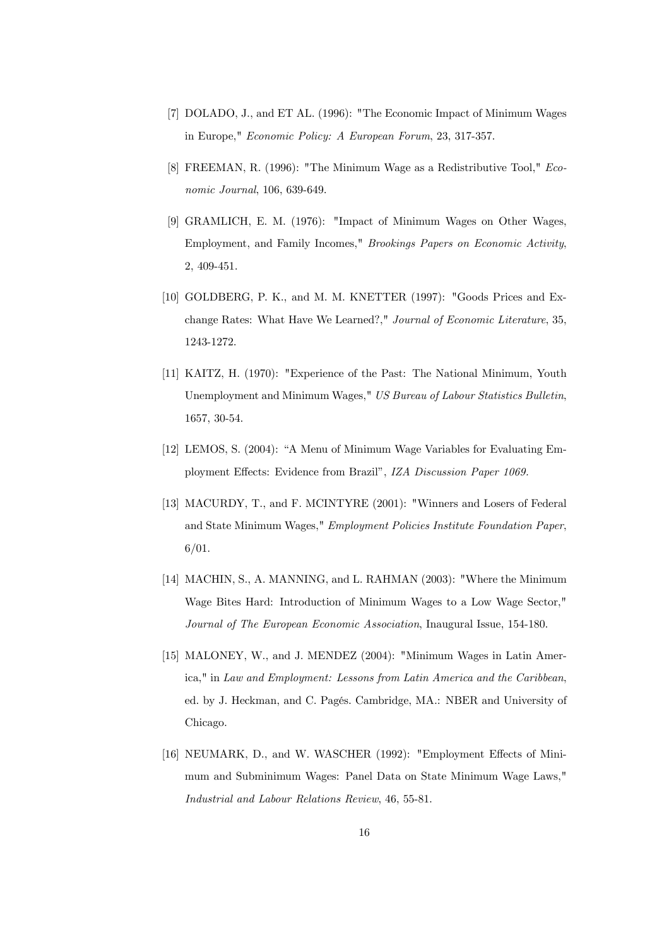- [7] DOLADO, J., and ET AL. (1996): "The Economic Impact of Minimum Wages in Europe," Economic Policy: A European Forum, 23, 317-357.
- [8] FREEMAN, R. (1996): "The Minimum Wage as a Redistributive Tool," Economic Journal, 106, 639-649.
- [9] GRAMLICH, E. M. (1976): "Impact of Minimum Wages on Other Wages, Employment, and Family Incomes," Brookings Papers on Economic Activity, 2, 409-451.
- [10] GOLDBERG, P. K., and M. M. KNETTER (1997): "Goods Prices and Exchange Rates: What Have We Learned?," Journal of Economic Literature, 35, 1243-1272.
- [11] KAITZ, H. (1970): "Experience of the Past: The National Minimum, Youth Unemployment and Minimum Wages," US Bureau of Labour Statistics Bulletin, 1657, 30-54.
- [12] LEMOS, S. (2004): "A Menu of Minimum Wage Variables for Evaluating Employment Effects: Evidence from Brazil", IZA Discussion Paper 1069.
- [13] MACURDY, T., and F. MCINTYRE (2001): "Winners and Losers of Federal and State Minimum Wages," Employment Policies Institute Foundation Paper, 6/01.
- [14] MACHIN, S., A. MANNING, and L. RAHMAN (2003): "Where the Minimum Wage Bites Hard: Introduction of Minimum Wages to a Low Wage Sector," Journal of The European Economic Association, Inaugural Issue, 154-180.
- [15] MALONEY, W., and J. MENDEZ (2004): "Minimum Wages in Latin America," in Law and Employment: Lessons from Latin America and the Caribbean, ed. by J. Heckman, and C. Pagés. Cambridge, MA.: NBER and University of Chicago.
- [16] NEUMARK, D., and W. WASCHER (1992): "Employment Effects of Minimum and Subminimum Wages: Panel Data on State Minimum Wage Laws," Industrial and Labour Relations Review, 46, 55-81.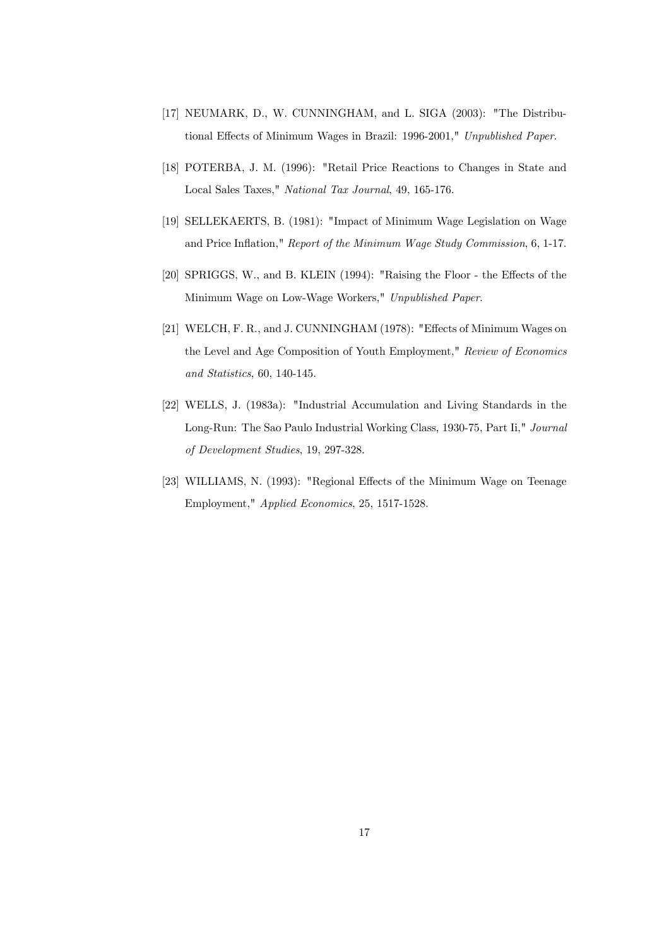- [17] NEUMARK, D., W. CUNNINGHAM, and L. SIGA (2003): "The Distributional Effects of Minimum Wages in Brazil: 1996-2001," Unpublished Paper.
- [18] POTERBA, J. M. (1996): "Retail Price Reactions to Changes in State and Local Sales Taxes," National Tax Journal, 49, 165-176.
- [19] SELLEKAERTS, B. (1981): "Impact of Minimum Wage Legislation on Wage and Price Inflation," Report of the Minimum Wage Study Commission, 6, 1-17.
- [20] SPRIGGS, W., and B. KLEIN (1994): "Raising the Floor the Effects of the Minimum Wage on Low-Wage Workers," Unpublished Paper.
- [21] WELCH, F. R., and J. CUNNINGHAM (1978): "Effects of Minimum Wages on the Level and Age Composition of Youth Employment," Review of Economics and Statistics, 60, 140-145.
- [22] WELLS, J. (1983a): "Industrial Accumulation and Living Standards in the Long-Run: The Sao Paulo Industrial Working Class, 1930-75, Part Ii," Journal of Development Studies, 19, 297-328.
- [23] WILLIAMS, N. (1993): "Regional Effects of the Minimum Wage on Teenage Employment," Applied Economics, 25, 1517-1528.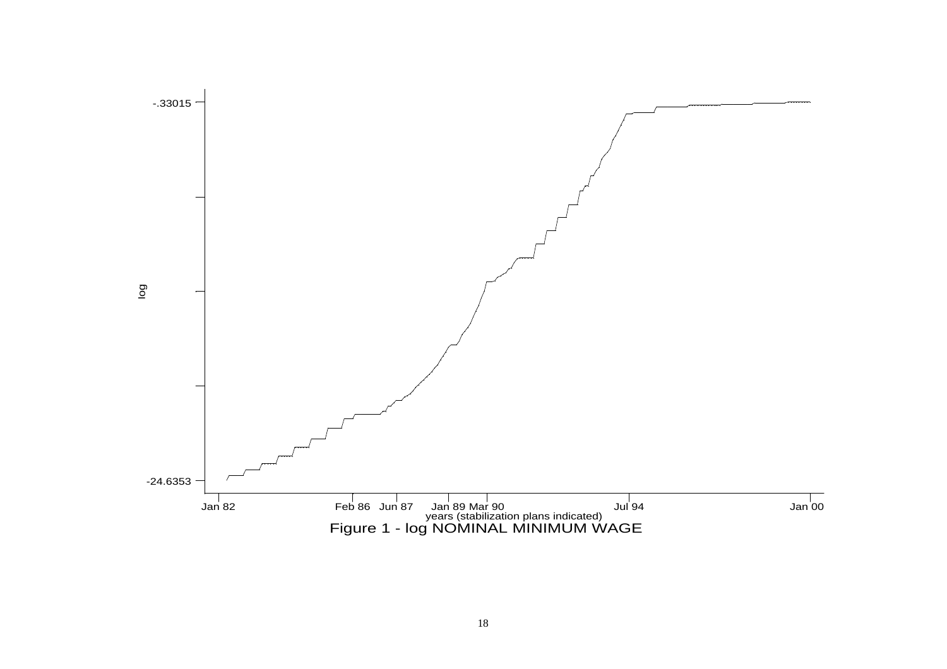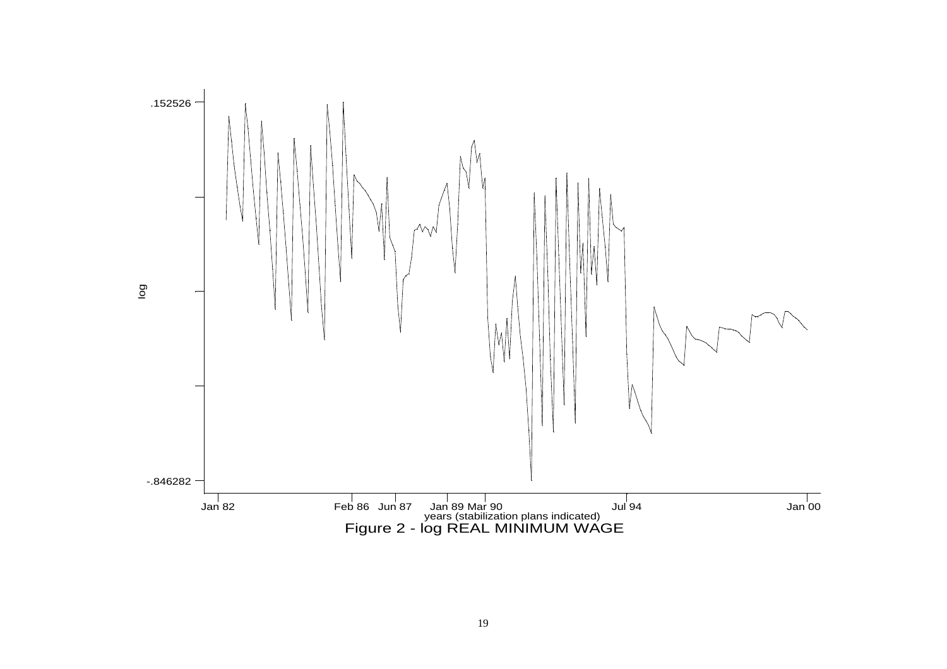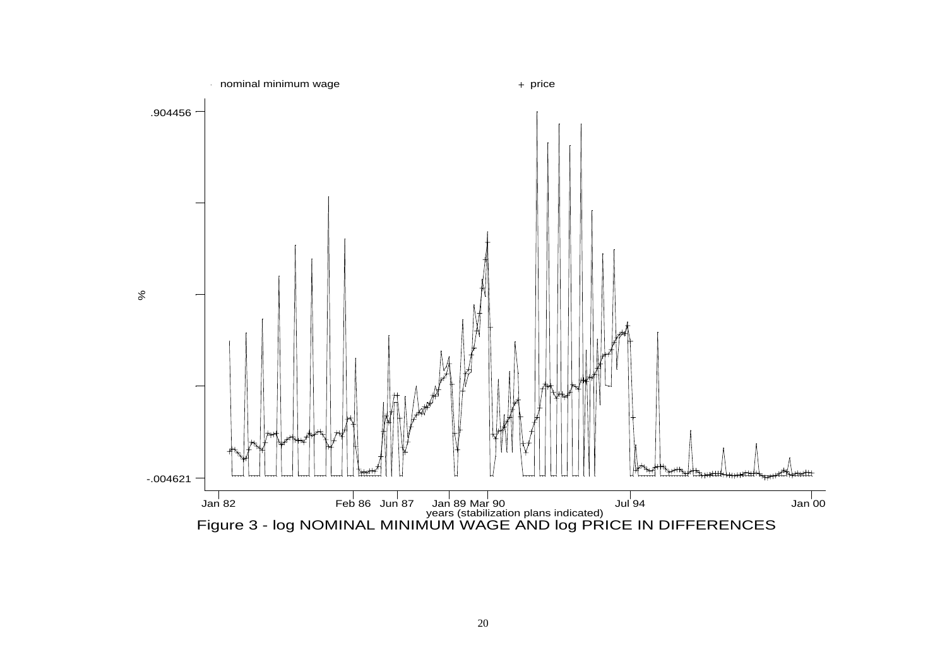